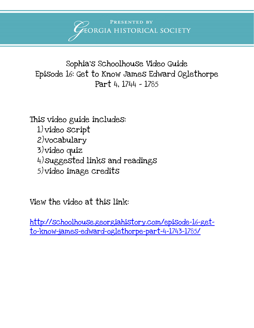PRESENTED BY EORGIA HISTORICAL SOCIETY

Sophia's Schoolhouse Video Guide Episode 16: Get to Know James Edward Oglethorpe Part 4, 1744 – 1785

This video guide includes: 1) video script 2)vocabulary 3)video quiz 4)suggested links and readings 5) video image credits

View the video at this link:

[http://schoolhouse.georgiahistory.com/episode-16-get](http://schoolhouse.georgiahistory.com/episode-16-get-to-know-james-edward-oglethorpe-part-4-1743-1785/)[to-know-james-edward-oglethorpe-part-4-1743-1785/](http://schoolhouse.georgiahistory.com/episode-16-get-to-know-james-edward-oglethorpe-part-4-1743-1785/)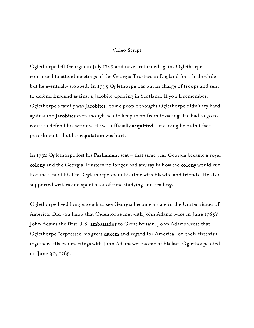#### Video Script

Oglethorpe left Georgia in July 1743 and never returned again. Oglethorpe continued to attend meetings of the Georgia Trustees in England for a little while, but he eventually stopped. In 1745 Oglethorpe was put in charge of troops and sent to defend England against a Jacobite uprising in Scotland. If you'll remember, Oglethorpe's family was Jacobites. Some people thought Oglethorpe didn't try hard against the Jacobites even though he did keep them from invading. He had to go to court to defend his actions. He was officially acquitted - meaning he didn't face punishment - but his reputation was hurt.

In 1752 Oglethorpe lost his Parliament seat – that same year Georgia became a royal colony and the Georgia Trustees no longer had any say in how the colony would run. For the rest of his life, Oglethorpe spent his time with his wife and friends. He also supported writers and spent a lot of time studying and reading.

Oglethorpe lived long enough to see Georgia become a state in the United States of America. Did you know that Oglehtorpe met with John Adams twice in June 1785? John Adams the first U.S. ambassador to Great Britain. John Adams wrote that Oglethorpe "expressed his great esteem and regard for America" on their first visit together. His two meetings with John Adams were some of his last. Oglethorpe died on June 30, 1785.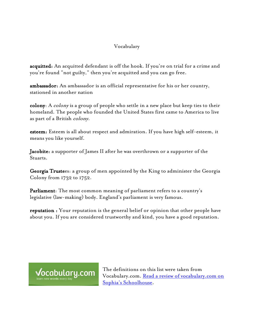## Vocabulary

acquitted: An acquitted defendant is off the hook. If you're on trial for a crime and you're found "not guilty," then you're acquitted and you can go free.

ambassador: An ambassador is an official representative for his or her country, stationed in another nation

colony: A colony is a group of people who settle in a new place but keep ties to their homeland. The people who founded the United States first came to America to live as part of a British *colony*.

esteem: Esteem is all about respect and admiration. If you have high self-esteem, it means you like yourself.

Jacobite: a supporter of James II after he was overthrown or a supporter of the Stuarts.

Georgia Trustees: a group of men appointed by the King to administer the Georgia Colony from 1732 to 1752.

Parliament: The most common meaning of parliament refers to a country's legislative (law-making) body. England's parliament is very famous.

reputation : Your reputation is the general belief or opinion that other people have about you. If you are considered trustworthy and kind, you have a good reputation.



The definitions on this list were taken from Vocabulary.com. <u>Read a review of vocabulary.com on</u> [Sophia's Schoolhouse.](http://schoolhouse.georgiahistory.com/sophias-resource-review-vocabulary-com/)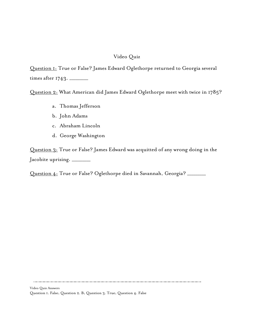## Video Quiz

Question 1: True or False? James Edward Oglethorpe returned to Georgia several times after 1743. \_\_\_\_\_\_\_\_\_

Question 2: What American did James Edward Oglethorpe meet with twice in 1785?

- a. Thomas Jefferson
- b. John Adams
- c. Abraham Lincoln
- d. George Washington

Question 3: True or False? James Edward was acquitted of any wrong doing in the Jacobite uprising. \_\_\_\_\_

Question 4: True or False? Oglethorpe died in Savannah, Georgia? \_\_\_\_\_\_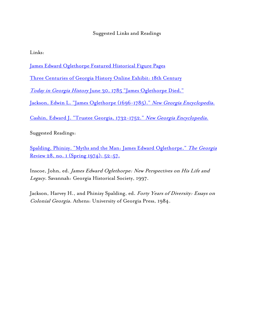# Suggested Links and Readings

Links:

[James Edward Oglethorpe Featured Historical Figure Pages](http://georgiahistory.com/education-outreach/online-exhibits/featured-historical-figures/james-edward-oglethorpe/)

[Three Centuries of Georgia History Online Exhibit: 18th Century](http://georgiahistory.com/education-outreach/online-exhibits/online-exhibits/three-centuries-of-georgia-history/eighteenth-century/)

Today in Georgia History [June 30, 1785 "James Oglethorpe Died."](http://www.todayingeorgiahistory.org/content/james-oglethorpe-died)

[Jackson, Edwin L. "James Oglethorpe \(1696-1785\)."](http://www.georgiaencyclopedia.org/articles/history-archaeology/james-oglethorpe-1696-1785) New Georgia Encyclopedia.

[Cashin, Edward J. "Trustee Georgia, 1732-1752."](http://www.georgiaencyclopedia.org/articles/history-archaeology/trustee-georgia-1732-1752) New Georgia Encyclopedia.

Suggested Readings:

[Spalding, Phinizy. "Myths and the Man: James Edward Oglethorpe."](http://www.jstor.org/stable/41397041) The Georgia [Review 28, no. 1 \(Spring 1974\): 52-57.](http://www.jstor.org/stable/41397041)

Inscoe, John, ed. James Edward Oglethorpe: New Perspectives on His Life and Legacy. Savannah: Georgia Historical Society, 1997.

Jackson, Harvey H., and Phinizy Spalding, ed. Forty Years of Diversity: Essays on Colonial Georgia. Athens: University of Georgia Press, 1984.